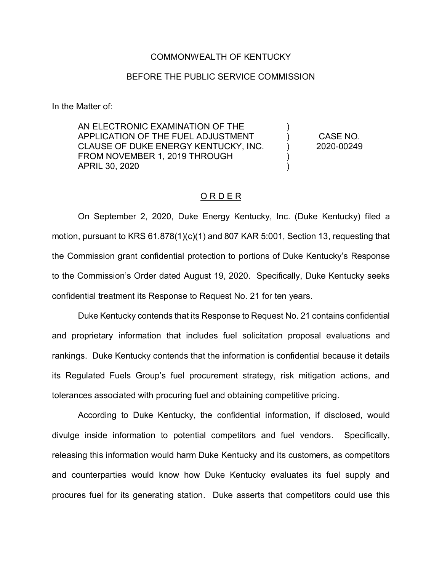## COMMONWEALTH OF KENTUCKY

## BEFORE THE PUBLIC SERVICE COMMISSION

In the Matter of:

AN ELECTRONIC EXAMINATION OF THE APPLICATION OF THE FUEL ADJUSTMENT CLAUSE OF DUKE ENERGY KENTUCKY, INC. FROM NOVEMBER 1, 2019 THROUGH APRIL 30, 2020 )  $\lambda$ ) ) ) CASE NO. 2020-00249

## O R D E R

On September 2, 2020, Duke Energy Kentucky, Inc. (Duke Kentucky) filed a motion, pursuant to KRS 61.878(1)(c)(1) and 807 KAR 5:001, Section 13, requesting that the Commission grant confidential protection to portions of Duke Kentucky's Response to the Commission's Order dated August 19, 2020. Specifically, Duke Kentucky seeks confidential treatment its Response to Request No. 21 for ten years.

Duke Kentucky contends that its Response to Request No. 21 contains confidential and proprietary information that includes fuel solicitation proposal evaluations and rankings. Duke Kentucky contends that the information is confidential because it details its Regulated Fuels Group's fuel procurement strategy, risk mitigation actions, and tolerances associated with procuring fuel and obtaining competitive pricing.

According to Duke Kentucky, the confidential information, if disclosed, would divulge inside information to potential competitors and fuel vendors. Specifically, releasing this information would harm Duke Kentucky and its customers, as competitors and counterparties would know how Duke Kentucky evaluates its fuel supply and procures fuel for its generating station. Duke asserts that competitors could use this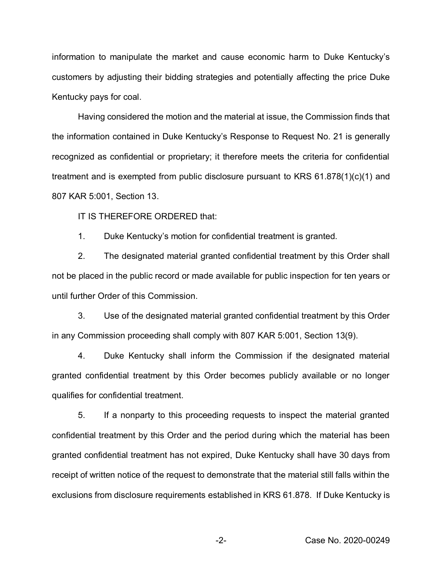information to manipulate the market and cause economic harm to Duke Kentucky's customers by adjusting their bidding strategies and potentially affecting the price Duke Kentucky pays for coal.

Having considered the motion and the material at issue, the Commission finds that the information contained in Duke Kentucky's Response to Request No. 21 is generally recognized as confidential or proprietary; it therefore meets the criteria for confidential treatment and is exempted from public disclosure pursuant to KRS 61.878(1)(c)(1) and 807 KAR 5:001, Section 13.

IT IS THEREFORE ORDERED that:

1. Duke Kentucky's motion for confidential treatment is granted.

2. The designated material granted confidential treatment by this Order shall not be placed in the public record or made available for public inspection for ten years or until further Order of this Commission.

3. Use of the designated material granted confidential treatment by this Order in any Commission proceeding shall comply with 807 KAR 5:001, Section 13(9).

4. Duke Kentucky shall inform the Commission if the designated material granted confidential treatment by this Order becomes publicly available or no longer qualifies for confidential treatment.

5. If a nonparty to this proceeding requests to inspect the material granted confidential treatment by this Order and the period during which the material has been granted confidential treatment has not expired, Duke Kentucky shall have 30 days from receipt of written notice of the request to demonstrate that the material still falls within the exclusions from disclosure requirements established in KRS 61.878. If Duke Kentucky is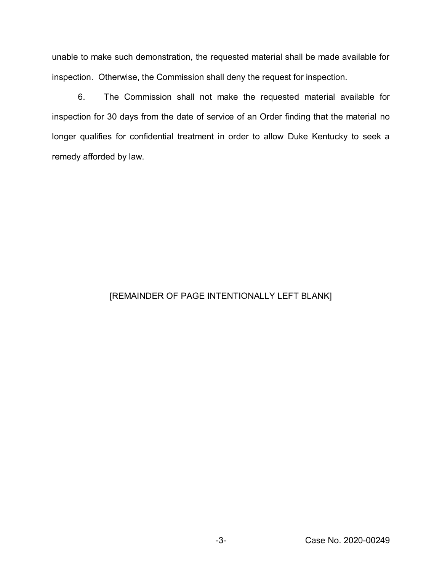unable to make such demonstration, the requested material shall be made available for inspection. Otherwise, the Commission shall deny the request for inspection.

6. The Commission shall not make the requested material available for inspection for 30 days from the date of service of an Order finding that the material no longer qualifies for confidential treatment in order to allow Duke Kentucky to seek a remedy afforded by law.

## [REMAINDER OF PAGE INTENTIONALLY LEFT BLANK]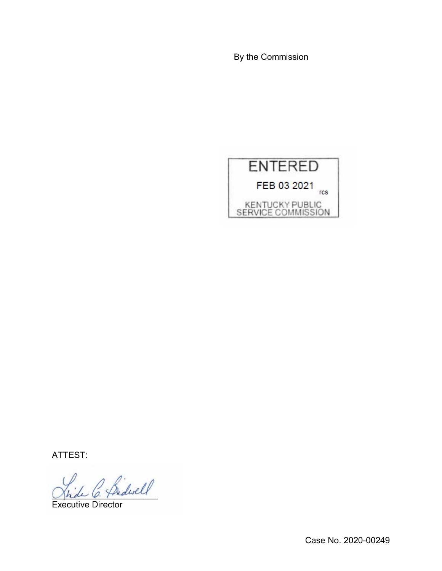By the Commission



ATTEST:

 $\frac{1}{\beta}$  he diself

Executive Director

Case No. 2020-00249